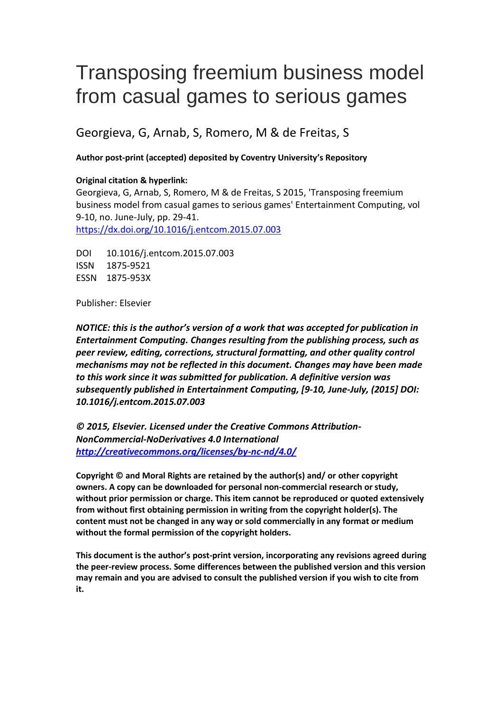# Transposing freemium business model from casual games to serious games

Georgieva, G, Arnab, S, Romero, M & de Freitas, S

#### **Author post-print (accepted) deposited by Coventry University's Repository**

#### **Original citation & hyperlink:**

Georgieva, G, Arnab, S, Romero, M & de Freitas, S 2015, 'Transposing freemium business model from casual games to serious games' Entertainment Computing, vol 9-10, no. June-July, pp. 29-41. <https://dx.doi.org/10.1016/j.entcom.2015.07.003>

DOI 10.1016/j.entcom.2015.07.003 ISSN 1875-9521 ESSN 1875-953X

Publisher: Elsevier

*NOTICE: this is the author's version of a work that was accepted for publication in Entertainment Computing. Changes resulting from the publishing process, such as peer review, editing, corrections, structural formatting, and other quality control mechanisms may not be reflected in this document. Changes may have been made to this work since it was submitted for publication. A definitive version was subsequently published in Entertainment Computing, [9-10, June-July, (2015] DOI: 10.1016/j.entcom.2015.07.003*

*© 2015, Elsevier. Licensed under the Creative Commons Attribution-NonCommercial-NoDerivatives 4.0 International <http://creativecommons.org/licenses/by-nc-nd/4.0/>*

**Copyright © and Moral Rights are retained by the author(s) and/ or other copyright owners. A copy can be downloaded for personal non-commercial research or study, without prior permission or charge. This item cannot be reproduced or quoted extensively from without first obtaining permission in writing from the copyright holder(s). The content must not be changed in any way or sold commercially in any format or medium without the formal permission of the copyright holders.** 

**This document is the author's post-print version, incorporating any revisions agreed during the peer-review process. Some differences between the published version and this version may remain and you are advised to consult the published version if you wish to cite from it.**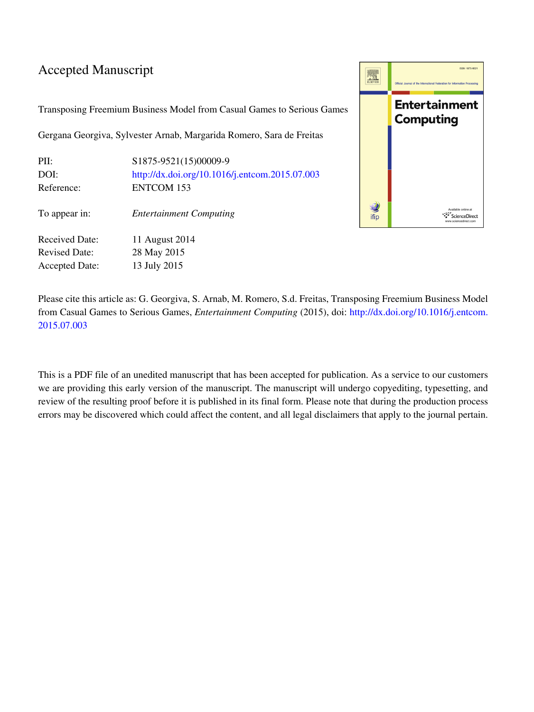### Accepted Manuscript

Transposing Freemium Business Model from Casual Games to Serious Games

Gergana Georgiva, Sylvester Arnab, Margarida Romero, Sara de Freitas

| PII:       | \$1875-9521(15)00009-9                         |
|------------|------------------------------------------------|
| DOI:       | http://dx.doi.org/10.1016/j.entcom.2015.07.003 |
| Reference: | ENTCOM 153                                     |

To appear in: Entertainment Computing

Received Date: 11 August 2014 Revised Date: 28 May 2015 Accepted Date: 13 July 2015



Please cite this article as: G. Georgiva, S. Arnab, M. Romero, S.d. Freitas, Transposing Freemium Business Model from Casual Games to Serious Games, Entertainment Computing (2015), doi: [http://dx.doi.org/10.1016/j.entcom.](http://dx.doi.org/http://dx.doi.org/10.1016/j.entcom.2015.07.003) [2015.07.003](http://dx.doi.org/http://dx.doi.org/10.1016/j.entcom.2015.07.003)

This is a PDF file of an unedited manuscript that has been accepted for publication. As a service to our customers we are providing this early version of the manuscript. The manuscript will undergo copyediting, typesetting, and review of the resulting proof before it is published in its final form. Please note that during the production process errors may be discovered which could affect the content, and all legal disclaimers that apply to the journal pertain.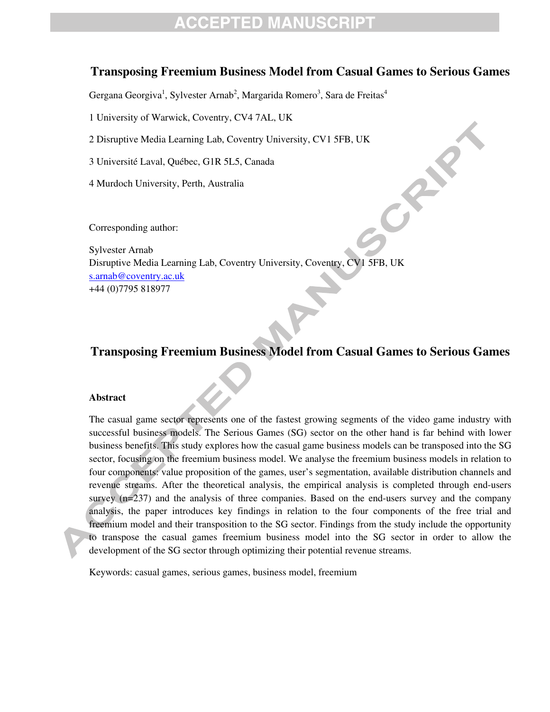### **Transposing Freemium Business Model from Casual Games to Serious Games**

CRAN

Gergana Georgiva<sup>1</sup>, Sylvester Arnab<sup>2</sup>, Margarida Romero<sup>3</sup>, Sara de Freitas<sup>4</sup>

1 University of Warwick, Coventry, CV4 7AL, UK

2 Disruptive Media Learning Lab, Coventry University, CV1 5FB, UK

3 Université Laval, Québec, G1R 5L5, Canada

4 Murdoch University, Perth, Australia

Corresponding author:

Sylvester Arnab Disruptive Media Learning Lab, Coventry University, Coventry, CV1 5FB, UK s.arnab@coventry.ac.uk +44 (0)7795 818977

#### **Transposing Freemium Business Model from Casual Games to Serious Games**

#### **Abstract**

The casual game sector represents one of the fastest growing segments of the video game industry with successful business models. The Serious Games (SG) sector on the other hand is far behind with lower business benefits. This study explores how the casual game business models can be transposed into the SG sector, focusing on the freemium business model. We analyse the freemium business models in relation to four components: value proposition of the games, user's segmentation, available distribution channels and revenue streams. After the theoretical analysis, the empirical analysis is completed through end-users survey (n=237) and the analysis of three companies. Based on the end-users survey and the company analysis, the paper introduces key findings in relation to the four components of the free trial and freemium model and their transposition to the SG sector. Findings from the study include the opportunity to transpose the casual games freemium business model into the SG sector in order to allow the development of the SG sector through optimizing their potential revenue streams.

Keywords: casual games, serious games, business model, freemium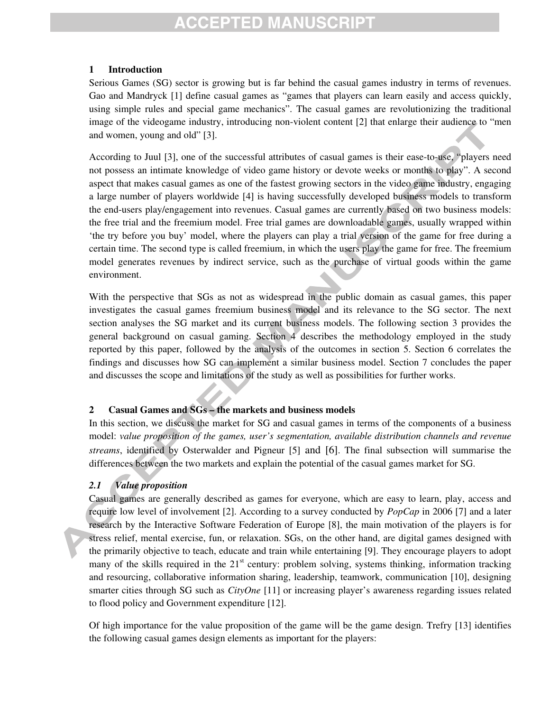#### **1 Introduction**

Serious Games (SG) sector is growing but is far behind the casual games industry in terms of revenues. Gao and Mandryck [1] define casual games as "games that players can learn easily and access quickly, using simple rules and special game mechanics". The casual games are revolutionizing the traditional image of the videogame industry, introducing non-violent content [2] that enlarge their audience to "men and women, young and old" [3].

According to Juul [3], one of the successful attributes of casual games is their ease-to-use, "players need not possess an intimate knowledge of video game history or devote weeks or months to play". A second aspect that makes casual games as one of the fastest growing sectors in the video game industry, engaging a large number of players worldwide [4] is having successfully developed business models to transform the end-users play/engagement into revenues. Casual games are currently based on two business models: the free trial and the freemium model. Free trial games are downloadable games, usually wrapped within 'the try before you buy' model, where the players can play a trial version of the game for free during a certain time. The second type is called freemium, in which the users play the game for free. The freemium model generates revenues by indirect service, such as the purchase of virtual goods within the game environment.

With the perspective that SGs as not as widespread in the public domain as casual games, this paper investigates the casual games freemium business model and its relevance to the SG sector. The next section analyses the SG market and its current business models. The following section 3 provides the general background on casual gaming. Section 4 describes the methodology employed in the study reported by this paper, followed by the analysis of the outcomes in section 5. Section 6 correlates the findings and discusses how SG can implement a similar business model. Section 7 concludes the paper and discusses the scope and limitations of the study as well as possibilities for further works.

#### **2 Casual Games and SGs – the markets and business models**

In this section, we discuss the market for SG and casual games in terms of the components of a business model: *value proposition of the games, user's segmentation, available distribution channels and revenue streams*, identified by Osterwalder and Pigneur [5] and [6]. The final subsection will summarise the differences between the two markets and explain the potential of the casual games market for SG.

#### *2.1 Value proposition*

Casual games are generally described as games for everyone, which are easy to learn, play, access and require low level of involvement [2]. According to a survey conducted by *PopCap* in 2006 [7] and a later research by the Interactive Software Federation of Europe [8], the main motivation of the players is for stress relief, mental exercise, fun, or relaxation. SGs, on the other hand, are digital games designed with the primarily objective to teach, educate and train while entertaining [9]. They encourage players to adopt many of the skills required in the  $21<sup>st</sup>$  century: problem solving, systems thinking, information tracking and resourcing, collaborative information sharing, leadership, teamwork, communication [10], designing smarter cities through SG such as *CityOne* [11] or increasing player's awareness regarding issues related to flood policy and Government expenditure [12].

Of high importance for the value proposition of the game will be the game design. Trefry [13] identifies the following casual games design elements as important for the players: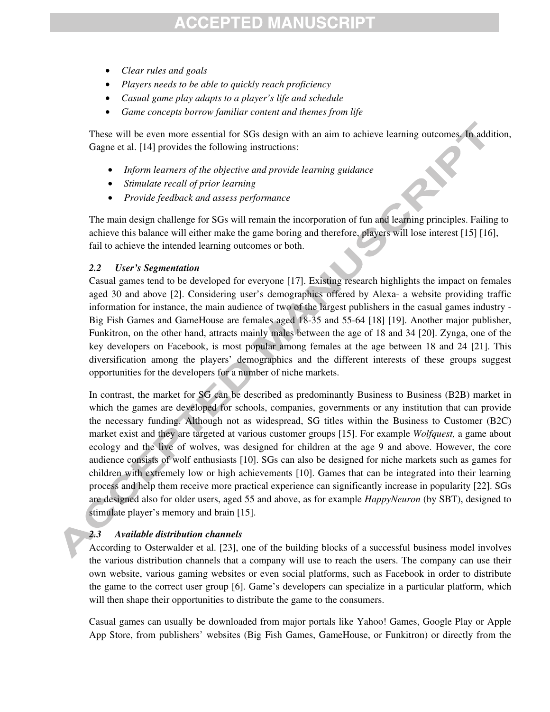- *Clear rules and goals*
- *Players needs to be able to quickly reach proficiency*
- *Casual game play adapts to a player's life and schedule*
- *Game concepts borrow familiar content and themes from life*

These will be even more essential for SGs design with an aim to achieve learning outcomes. In addition, Gagne et al. [14] provides the following instructions:

- *Inform learners of the objective and provide learning guidance*
- *Stimulate recall of prior learning*
- *Provide feedback and assess performance*

The main design challenge for SGs will remain the incorporation of fun and learning principles. Failing to achieve this balance will either make the game boring and therefore, players will lose interest [15] [16], fail to achieve the intended learning outcomes or both.

#### *2.2 User's Segmentation*

Casual games tend to be developed for everyone [17]. Existing research highlights the impact on females aged 30 and above [2]. Considering user's demographics offered by Alexa- a website providing traffic information for instance, the main audience of two of the largest publishers in the casual games industry - Big Fish Games and GameHouse are females aged 18-35 and 55-64 [18] [19]. Another major publisher, Funkitron, on the other hand, attracts mainly males between the age of 18 and 34 [20]. Zynga, one of the key developers on Facebook, is most popular among females at the age between 18 and 24 [21]. This diversification among the players' demographics and the different interests of these groups suggest opportunities for the developers for a number of niche markets.

In contrast, the market for SG can be described as predominantly Business to Business (B2B) market in which the games are developed for schools, companies, governments or any institution that can provide the necessary funding. Although not as widespread, SG titles within the Business to Customer (B2C) market exist and they are targeted at various customer groups [15]. For example *Wolfquest,* a game about ecology and the live of wolves, was designed for children at the age 9 and above. However, the core audience consists of wolf enthusiasts [10]. SGs can also be designed for niche markets such as games for children with extremely low or high achievements [10]. Games that can be integrated into their learning process and help them receive more practical experience can significantly increase in popularity [22]. SGs are designed also for older users, aged 55 and above, as for example *HappyNeuron* (by SBT), designed to stimulate player's memory and brain [15].

#### *2.3 Available distribution channels*

According to Osterwalder et al. [23], one of the building blocks of a successful business model involves the various distribution channels that a company will use to reach the users. The company can use their own website, various gaming websites or even social platforms, such as Facebook in order to distribute the game to the correct user group [6]. Game's developers can specialize in a particular platform, which will then shape their opportunities to distribute the game to the consumers.

Casual games can usually be downloaded from major portals like Yahoo! Games, Google Play or Apple App Store, from publishers' websites (Big Fish Games, GameHouse, or Funkitron) or directly from the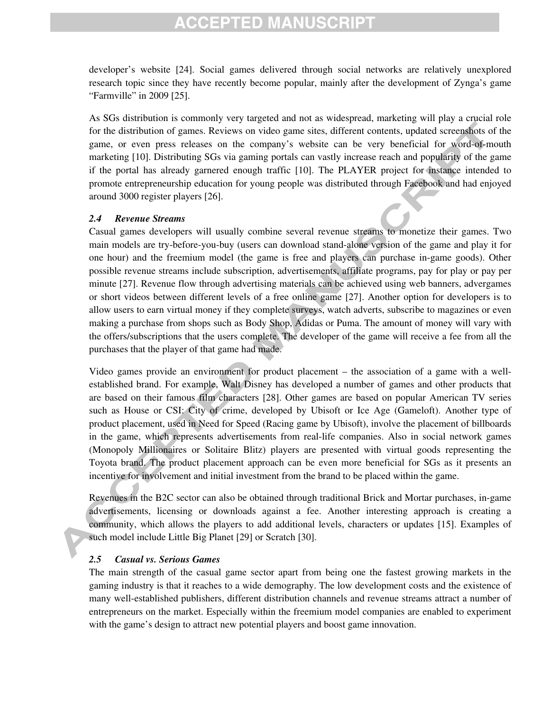developer's website [24]. Social games delivered through social networks are relatively unexplored research topic since they have recently become popular, mainly after the development of Zynga's game "Farmville" in 2009 [25].

As SGs distribution is commonly very targeted and not as widespread, marketing will play a crucial role for the distribution of games. Reviews on video game sites, different contents, updated screenshots of the game, or even press releases on the company's website can be very beneficial for word-of-mouth marketing [10]. Distributing SGs via gaming portals can vastly increase reach and popularity of the game if the portal has already garnered enough traffic [10]. The PLAYER project for instance intended to promote entrepreneurship education for young people was distributed through Facebook and had enjoyed around 3000 register players [26].

#### *2.4 Revenue Streams*

Casual games developers will usually combine several revenue streams to monetize their games. Two main models are try-before-you-buy (users can download stand-alone version of the game and play it for one hour) and the freemium model (the game is free and players can purchase in-game goods). Other possible revenue streams include subscription, advertisements, affiliate programs, pay for play or pay per minute [27]. Revenue flow through advertising materials can be achieved using web banners, advergames or short videos between different levels of a free online game [27]. Another option for developers is to allow users to earn virtual money if they complete surveys, watch adverts, subscribe to magazines or even making a purchase from shops such as Body Shop, Adidas or Puma. The amount of money will vary with the offers/subscriptions that the users complete. The developer of the game will receive a fee from all the purchases that the player of that game had made.

Video games provide an environment for product placement – the association of a game with a wellestablished brand. For example, Walt Disney has developed a number of games and other products that are based on their famous film characters [28]. Other games are based on popular American TV series such as House or CSI: City of crime, developed by Ubisoft or Ice Age (Gameloft). Another type of product placement, used in Need for Speed (Racing game by Ubisoft), involve the placement of billboards in the game, which represents advertisements from real-life companies. Also in social network games (Monopoly Millionaires or Solitaire Blitz) players are presented with virtual goods representing the Toyota brand. The product placement approach can be even more beneficial for SGs as it presents an incentive for involvement and initial investment from the brand to be placed within the game.

Revenues in the B2C sector can also be obtained through traditional Brick and Mortar purchases, in-game advertisements, licensing or downloads against a fee. Another interesting approach is creating a community, which allows the players to add additional levels, characters or updates [15]. Examples of such model include Little Big Planet [29] or Scratch [30].

#### *2.5 Casual vs. Serious Games*

The main strength of the casual game sector apart from being one the fastest growing markets in the gaming industry is that it reaches to a wide demography. The low development costs and the existence of many well-established publishers, different distribution channels and revenue streams attract a number of entrepreneurs on the market. Especially within the freemium model companies are enabled to experiment with the game's design to attract new potential players and boost game innovation.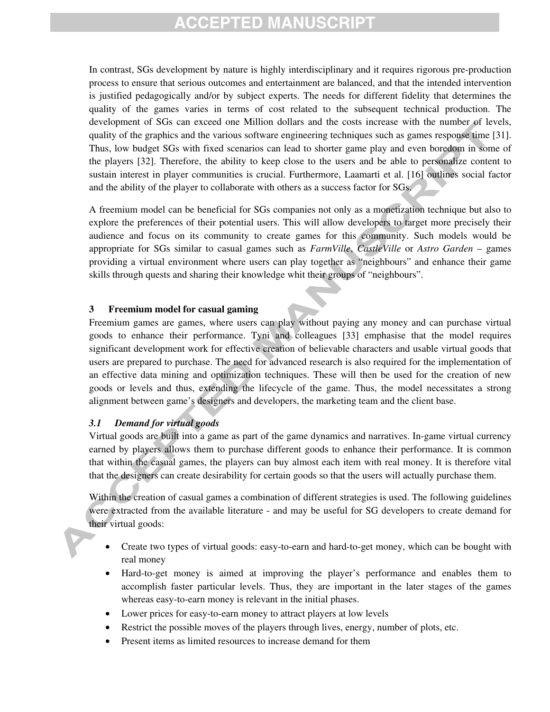In contrast, SGs development by nature is highly interdisciplinary and it requires rigorous pre-production process to ensure that serious outcomes and entertainment are balanced, and that the intended intervention is justified pedagogically and/or by subject experts. The needs for different fidelity that determines the quality of the games varies in terms of cost related to the subsequent technical production. The development of SGs can exceed one Million dollars and the costs increase with the number of levels, quality of the graphics and the various software engineering techniques such as games response time [31]. Thus, low budget SGs with fixed scenarios can lead to shorter game play and even boredom in some of the players [32]. Therefore, the ability to keep close to the users and be able to personalize content to sustain interest in player communities is crucial. Furthermore, Laamarti et al. [16] outlines social factor and the ability of the player to collaborate with others as a success factor for SGs.

A freemium model can be beneficial for SGs companies not only as a monetization technique but also to explore the preferences of their potential users. This will allow developers to target more precisely their audience and focus on its community to create games for this community. Such models would be appropriate for SGs similar to casual games such as *FarmVille*, *CastleVille* or *Astro Garden* – games providing a virtual environment where users can play together as "neighbours" and enhance their game skills through quests and sharing their knowledge whit their groups of "neighbours".

#### **3 Freemium model for casual gaming**

Freemium games are games, where users can play without paying any money and can purchase virtual goods to enhance their performance. Tyni and colleagues [33] emphasise that the model requires significant development work for effective creation of believable characters and usable virtual goods that users are prepared to purchase. The need for advanced research is also required for the implementation of an effective data mining and optimization techniques. These will then be used for the creation of new goods or levels and thus, extending the lifecycle of the game. Thus, the model necessitates a strong alignment between game's designers and developers, the marketing team and the client base.

#### *3.1 Demand for virtual goods*

Virtual goods are built into a game as part of the game dynamics and narratives. In-game virtual currency earned by players allows them to purchase different goods to enhance their performance. It is common that within the casual games, the players can buy almost each item with real money. It is therefore vital that the designers can create desirability for certain goods so that the users will actually purchase them.

Within the creation of casual games a combination of different strategies is used. The following guidelines were extracted from the available literature - and may be useful for SG developers to create demand for their virtual goods:

- Create two types of virtual goods: easy-to-earn and hard-to-get money, which can be bought with real money
- Hard-to-get money is aimed at improving the player's performance and enables them to accomplish faster particular levels. Thus, they are important in the later stages of the games whereas easy-to-earn money is relevant in the initial phases.
- Lower prices for easy-to-earn money to attract players at low levels
- Restrict the possible moves of the players through lives, energy, number of plots, etc.
- Present items as limited resources to increase demand for them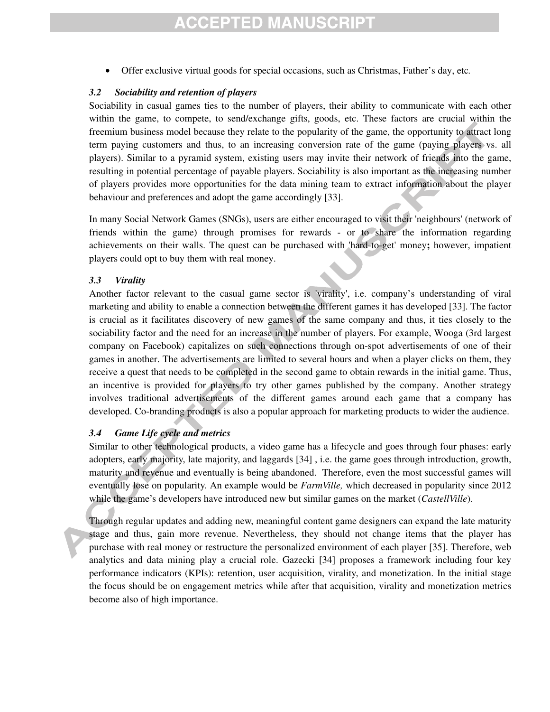• Offer exclusive virtual goods for special occasions, such as Christmas, Father's day, etc*.* 

#### *3.2 Sociability and retention of players*

Sociability in casual games ties to the number of players, their ability to communicate with each other within the game, to compete, to send/exchange gifts, goods, etc. These factors are crucial within the freemium business model because they relate to the popularity of the game, the opportunity to attract long term paying customers and thus, to an increasing conversion rate of the game (paying players vs. all players). Similar to a pyramid system, existing users may invite their network of friends into the game, resulting in potential percentage of payable players. Sociability is also important as the increasing number of players provides more opportunities for the data mining team to extract information about the player behaviour and preferences and adopt the game accordingly [33].

In many Social Network Games (SNGs), users are either encouraged to visit their 'neighbours' (network of friends within the game) through promises for rewards - or to share the information regarding achievements on their walls. The quest can be purchased with 'hard-to-get' money**;** however, impatient players could opt to buy them with real money.

#### *3.3 Virality*

Another factor relevant to the casual game sector is 'virality', i.e. company's understanding of viral marketing and ability to enable a connection between the different games it has developed [33]. The factor is crucial as it facilitates discovery of new games of the same company and thus, it ties closely to the sociability factor and the need for an increase in the number of players. For example, Wooga (3rd largest company on Facebook) capitalizes on such connections through on-spot advertisements of one of their games in another. The advertisements are limited to several hours and when a player clicks on them, they receive a quest that needs to be completed in the second game to obtain rewards in the initial game. Thus, an incentive is provided for players to try other games published by the company. Another strategy involves traditional advertisements of the different games around each game that a company has developed. Co-branding products is also a popular approach for marketing products to wider the audience.

#### *3.4 Game Life cycle and metrics*

Similar to other technological products, a video game has a lifecycle and goes through four phases: early adopters, early majority, late majority, and laggards [34] , i.e. the game goes through introduction, growth, maturity and revenue and eventually is being abandoned. Therefore, even the most successful games will eventually lose on popularity. An example would be *FarmVille,* which decreased in popularity since 2012 while the game's developers have introduced new but similar games on the market (*CastellVille*).

Through regular updates and adding new, meaningful content game designers can expand the late maturity stage and thus, gain more revenue. Nevertheless, they should not change items that the player has purchase with real money or restructure the personalized environment of each player [35]. Therefore, web analytics and data mining play a crucial role. Gazecki [34] proposes a framework including four key performance indicators (KPIs): retention, user acquisition, virality, and monetization. In the initial stage the focus should be on engagement metrics while after that acquisition, virality and monetization metrics become also of high importance.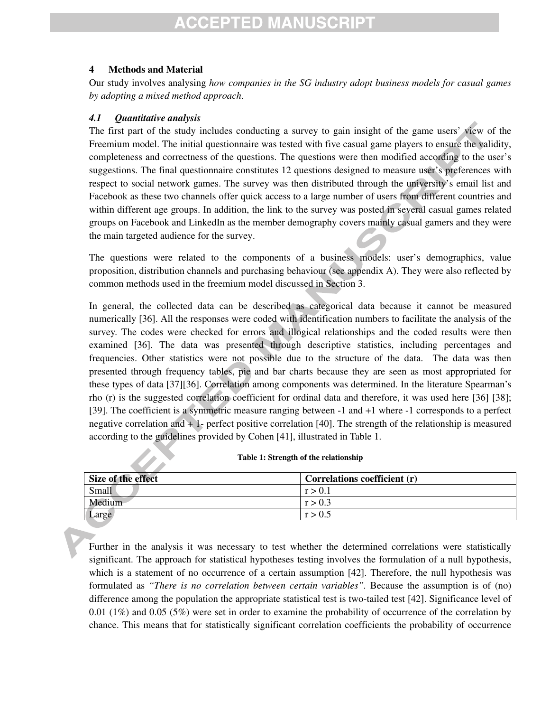#### **4 Methods and Material**

Our study involves analysing *how companies in the SG industry adopt business models for casual games by adopting a mixed method approach*.

#### *4.1 Quantitative analysis*

The first part of the study includes conducting a survey to gain insight of the game users' view of the Freemium model. The initial questionnaire was tested with five casual game players to ensure the validity, completeness and correctness of the questions. The questions were then modified according to the user's suggestions. The final questionnaire constitutes 12 questions designed to measure user's preferences with respect to social network games. The survey was then distributed through the university's email list and Facebook as these two channels offer quick access to a large number of users from different countries and within different age groups. In addition, the link to the survey was posted in several casual games related groups on Facebook and LinkedIn as the member demography covers mainly casual gamers and they were the main targeted audience for the survey.

The questions were related to the components of a business models: user's demographics, value proposition, distribution channels and purchasing behaviour (see appendix A). They were also reflected by common methods used in the freemium model discussed in Section 3.

In general, the collected data can be described as categorical data because it cannot be measured numerically [36]. All the responses were coded with identification numbers to facilitate the analysis of the survey. The codes were checked for errors and illogical relationships and the coded results were then examined [36]. The data was presented through descriptive statistics, including percentages and frequencies. Other statistics were not possible due to the structure of the data. The data was then presented through frequency tables, pie and bar charts because they are seen as most appropriated for these types of data [37][36]. Correlation among components was determined. In the literature Spearman's rho (r) is the suggested correlation coefficient for ordinal data and therefore, it was used here [36] [38]; [39]. The coefficient is a symmetric measure ranging between -1 and +1 where -1 corresponds to a perfect negative correlation and + 1- perfect positive correlation [40]. The strength of the relationship is measured according to the guidelines provided by Cohen [41], illustrated in Table 1.

| Size of the effect | Correlations coefficient (r) |
|--------------------|------------------------------|
| Small              | r > 0.1                      |
| Medium             | r > 0.3                      |
| Large              | r > 0.5                      |

Further in the analysis it was necessary to test whether the determined correlations were statistically significant. The approach for statistical hypotheses testing involves the formulation of a null hypothesis, which is a statement of no occurrence of a certain assumption [42]. Therefore, the null hypothesis was formulated as *"There is no correlation between certain variables".* Because the assumption is of (no) difference among the population the appropriate statistical test is two-tailed test [42]. Significance level of 0.01 (1%) and 0.05 (5%) were set in order to examine the probability of occurrence of the correlation by chance. This means that for statistically significant correlation coefficients the probability of occurrence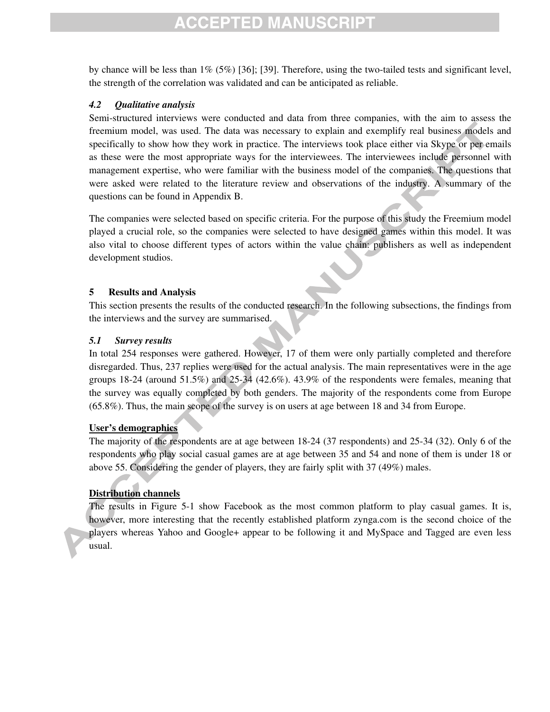by chance will be less than 1% (5%) [36]; [39]. Therefore, using the two-tailed tests and significant level, the strength of the correlation was validated and can be anticipated as reliable.

#### *4.2 Qualitative analysis*

Semi-structured interviews were conducted and data from three companies, with the aim to assess the freemium model, was used. The data was necessary to explain and exemplify real business models and specifically to show how they work in practice. The interviews took place either via Skype or per emails as these were the most appropriate ways for the interviewees. The interviewees include personnel with management expertise, who were familiar with the business model of the companies. The questions that were asked were related to the literature review and observations of the industry. A summary of the questions can be found in Appendix B.

The companies were selected based on specific criteria. For the purpose of this study the Freemium model played a crucial role, so the companies were selected to have designed games within this model. It was also vital to choose different types of actors within the value chain: publishers as well as independent development studios.

#### **5 Results and Analysis**

This section presents the results of the conducted research. In the following subsections, the findings from the interviews and the survey are summarised.

#### *5.1 Survey results*

In total 254 responses were gathered. However, 17 of them were only partially completed and therefore disregarded. Thus, 237 replies were used for the actual analysis. The main representatives were in the age groups 18-24 (around 51.5%) and 25-34 (42.6%). 43.9% of the respondents were females, meaning that the survey was equally completed by both genders. The majority of the respondents come from Europe (65.8%). Thus, the main scope of the survey is on users at age between 18 and 34 from Europe.

#### **User's demographics**

The majority of the respondents are at age between 18-24 (37 respondents) and 25-34 (32). Only 6 of the respondents who play social casual games are at age between 35 and 54 and none of them is under 18 or above 55. Considering the gender of players, they are fairly split with 37 (49%) males.

#### **Distribution channels**

The results in Figure 5-1 show Facebook as the most common platform to play casual games. It is, however, more interesting that the recently established platform zynga.com is the second choice of the players whereas Yahoo and Google+ appear to be following it and MySpace and Tagged are even less usual.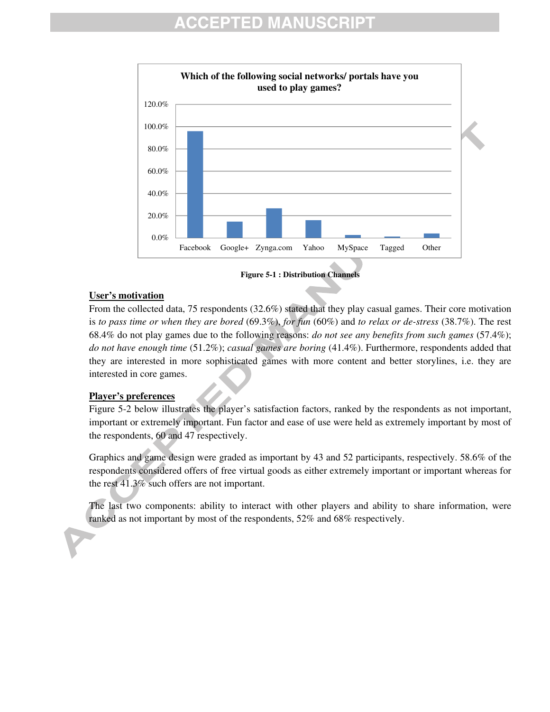

**Figure 5-1 : Distribution Channels** 

#### **User's motivation**

From the collected data, 75 respondents (32.6%) stated that they play casual games. Their core motivation is *to pass time or when they are bored* (69.3%), *for fun* (60%) and *to relax or de-stress* (38.7%). The rest 68.4% do not play games due to the following reasons: *do not see any benefits from such games* (57.4%); *do not have enough time* (51.2%); *casual games are boring* (41.4%). Furthermore, respondents added that they are interested in more sophisticated games with more content and better storylines, i.e. they are interested in core games.

#### **Player's preferences**

Figure 5-2 below illustrates the player's satisfaction factors, ranked by the respondents as not important, important or extremely important. Fun factor and ease of use were held as extremely important by most of the respondents, 60 and 47 respectively.

Graphics and game design were graded as important by 43 and 52 participants, respectively. 58.6% of the respondents considered offers of free virtual goods as either extremely important or important whereas for the rest 41.3% such offers are not important.

The last two components: ability to interact with other players and ability to share information, were ranked as not important by most of the respondents, 52% and 68% respectively.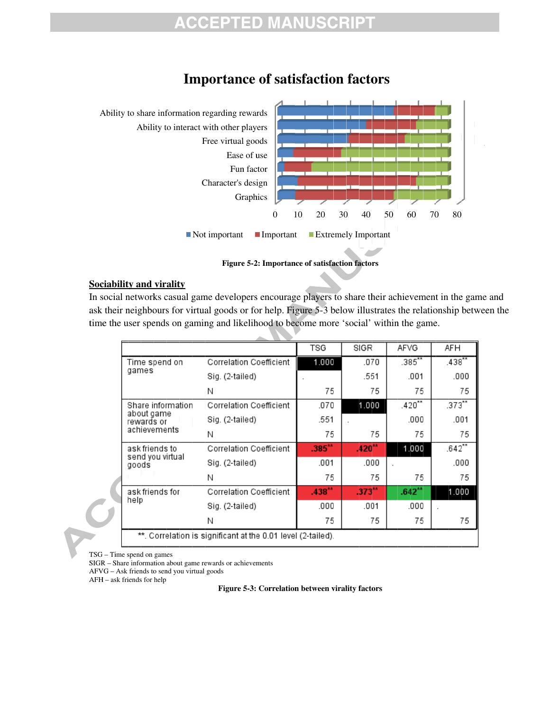

### Importance of satisfaction factors

Figure 5-2: Importance of satisfaction factors

#### **<u>Sociability and virality</u>**

ask their neighbours for virtual goods or for help. Figure 5-3 below illustrates the relationship between the time the user spends on gaming and likelihood to become more 'social' within the game.

|                                                              |                                | TSG      | SIGR     | AFVG      | AFH       |
|--------------------------------------------------------------|--------------------------------|----------|----------|-----------|-----------|
| Time spend on                                                | <b>Correlation Coefficient</b> | 1.000    | .070     | .385**    | .438      |
| games                                                        | Sig. (2-tailed)                |          | .551     | .001      | .000      |
|                                                              | Ν                              | 75       | 75       | 75        | 75        |
| Share information                                            | <b>Correlation Coefficient</b> | .070     | 1.000    | $.420***$ | $.373***$ |
| about game<br>rewards or                                     | Sig. (2-tailed)                | .551     |          | .000      | .001      |
| achievements                                                 | Ν                              | 75       | 75       | 75        | 75        |
| ask friends to                                               | Correlation Coefficient        | $.385**$ | $.420**$ | 1.000     | $.642$ ** |
| send you virtual<br>goods                                    | Sig. (2-tailed)                | .001     | .000     |           | .000      |
|                                                              | Ν                              | 75       | 75       | 75        | 75        |
| ask friends for                                              | <b>Correlation Coefficient</b> | $.438**$ | $.373**$ | $.642**$  | 1.000     |
| help                                                         | Sig. (2-tailed)                | .000     | .001     | .000      |           |
|                                                              | Ν                              | 75       | 75       | 75        | 75        |
| **. Correlation is significant at the 0.01 level (2-tailed). |                                |          |          |           |           |

TSG – Time spend on games

SIGR - Share information about game rewards or achievements

AFVG - Ask friends to send you virtual goods AFH – ask friends for help

**Figure 5-3: Correlation between virality factors**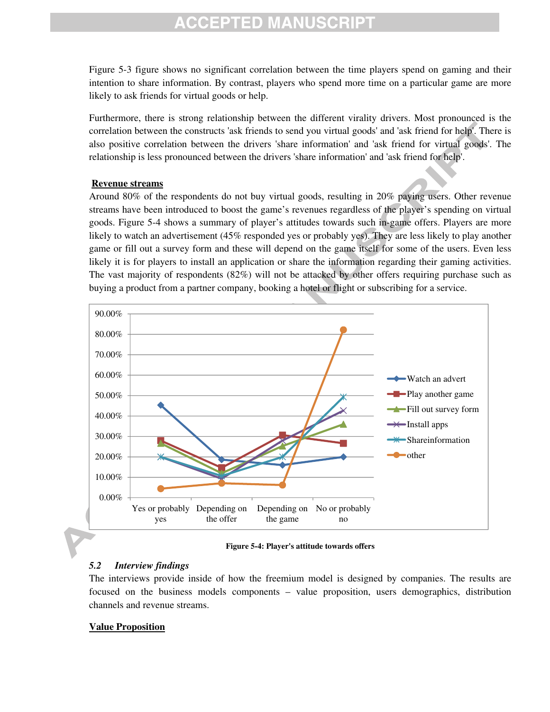Figure 5-3 figure shows no significant correlation between the time players spend on gaming and their intention to share information. By contrast, players who spend more time on a particular game are more likely to ask friends for virtual goods or help.

Furthermore, there is strong relationship between the different virality drivers. Most pronounced is the correlation between the constructs 'ask friends to send you virtual goods' and 'ask friend for help'. There is also positive correlation between the drivers 'share information' and 'ask friend for virtual goods'. The relationship is less pronounced between the drivers 'share information' and 'ask friend for help'.

#### **Revenue streams**

Around 80% of the respondents do not buy virtual goods, resulting in 20% paying users. Other revenue streams have been introduced to boost the game's revenues regardless of the player's spending on virtual goods. Figure 5-4 shows a summary of player's attitudes towards such in-game offers. Players are more likely to watch an advertisement (45% responded yes or probably yes). They are less likely to play another game or fill out a survey form and these will depend on the game itself for some of the users. Even less likely it is for players to install an application or share the information regarding their gaming activities. The vast majority of respondents (82%) will not be attacked by other offers requiring purchase such as buying a product from a partner company, booking a hotel or flight or subscribing for a service.



**Figure 5-4: Player's attitude towards offers** 

#### *5.2 Interview findings*

The interviews provide inside of how the freemium model is designed by companies. The results are focused on the business models components – value proposition, users demographics, distribution channels and revenue streams.

#### **Value Proposition**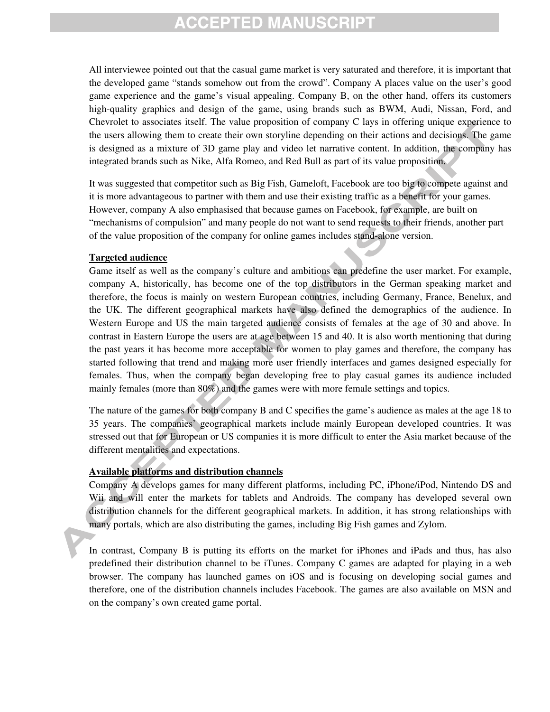All interviewee pointed out that the casual game market is very saturated and therefore, it is important that the developed game "stands somehow out from the crowd". Company A places value on the user's good game experience and the game's visual appealing. Company B, on the other hand, offers its customers high-quality graphics and design of the game, using brands such as BWM, Audi, Nissan, Ford, and Chevrolet to associates itself. The value proposition of company C lays in offering unique experience to the users allowing them to create their own storyline depending on their actions and decisions. The game is designed as a mixture of 3D game play and video let narrative content. In addition, the company has integrated brands such as Nike, Alfa Romeo, and Red Bull as part of its value proposition.

It was suggested that competitor such as Big Fish, Gameloft, Facebook are too big to compete against and it is more advantageous to partner with them and use their existing traffic as a benefit for your games. However, company A also emphasised that because games on Facebook, for example, are built on "mechanisms of compulsion" and many people do not want to send requests to their friends, another part of the value proposition of the company for online games includes stand-alone version.

#### **Targeted audience**

Game itself as well as the company's culture and ambitions can predefine the user market. For example, company A, historically, has become one of the top distributors in the German speaking market and therefore, the focus is mainly on western European countries, including Germany, France, Benelux, and the UK. The different geographical markets have also defined the demographics of the audience. In Western Europe and US the main targeted audience consists of females at the age of 30 and above. In contrast in Eastern Europe the users are at age between 15 and 40. It is also worth mentioning that during the past years it has become more acceptable for women to play games and therefore, the company has started following that trend and making more user friendly interfaces and games designed especially for females. Thus, when the company began developing free to play casual games its audience included mainly females (more than 80%) and the games were with more female settings and topics.

The nature of the games for both company B and C specifies the game's audience as males at the age 18 to 35 years. The companies' geographical markets include mainly European developed countries. It was stressed out that for European or US companies it is more difficult to enter the Asia market because of the different mentalities and expectations.

#### **Available platforms and distribution channels**

Company A develops games for many different platforms, including PC, iPhone/iPod, Nintendo DS and Wii and will enter the markets for tablets and Androids. The company has developed several own distribution channels for the different geographical markets. In addition, it has strong relationships with many portals, which are also distributing the games, including Big Fish games and Zylom.

In contrast, Company B is putting its efforts on the market for iPhones and iPads and thus, has also predefined their distribution channel to be iTunes. Company C games are adapted for playing in a web browser. The company has launched games on iOS and is focusing on developing social games and therefore, one of the distribution channels includes Facebook. The games are also available on MSN and on the company's own created game portal.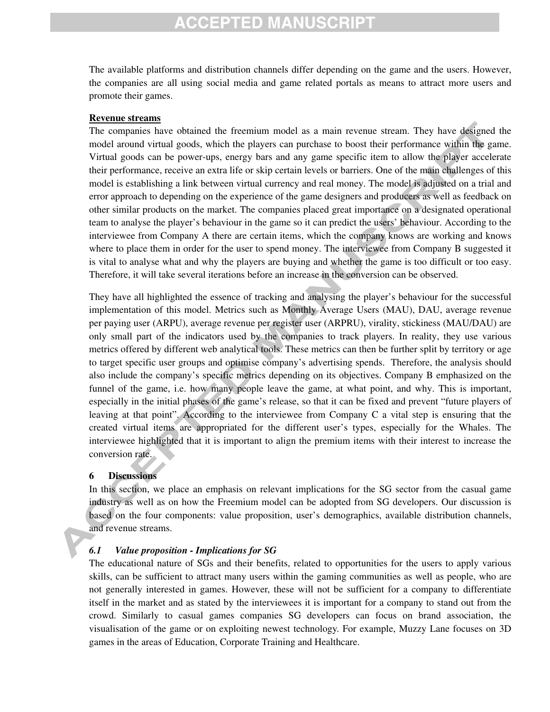The available platforms and distribution channels differ depending on the game and the users. However, the companies are all using social media and game related portals as means to attract more users and promote their games.

#### **Revenue streams**

The companies have obtained the freemium model as a main revenue stream. They have designed the model around virtual goods, which the players can purchase to boost their performance within the game. Virtual goods can be power-ups, energy bars and any game specific item to allow the player accelerate their performance, receive an extra life or skip certain levels or barriers. One of the main challenges of this model is establishing a link between virtual currency and real money. The model is adjusted on a trial and error approach to depending on the experience of the game designers and producers as well as feedback on other similar products on the market. The companies placed great importance on a designated operational team to analyse the player's behaviour in the game so it can predict the users' behaviour. According to the interviewee from Company A there are certain items, which the company knows are working and knows where to place them in order for the user to spend money. The interviewee from Company B suggested it is vital to analyse what and why the players are buying and whether the game is too difficult or too easy. Therefore, it will take several iterations before an increase in the conversion can be observed.

They have all highlighted the essence of tracking and analysing the player's behaviour for the successful implementation of this model. Metrics such as Monthly Average Users (MAU), DAU, average revenue per paying user (ARPU), average revenue per register user (ARPRU), virality, stickiness (MAU/DAU) are only small part of the indicators used by the companies to track players. In reality, they use various metrics offered by different web analytical tools. These metrics can then be further split by territory or age to target specific user groups and optimise company's advertising spends. Therefore, the analysis should also include the company's specific metrics depending on its objectives. Company B emphasized on the funnel of the game, i.e. how many people leave the game, at what point, and why. This is important, especially in the initial phases of the game's release, so that it can be fixed and prevent "future players of leaving at that point". According to the interviewee from Company C a vital step is ensuring that the created virtual items are appropriated for the different user's types, especially for the Whales. The interviewee highlighted that it is important to align the premium items with their interest to increase the conversion rate.

#### **6 Discussions**

In this section, we place an emphasis on relevant implications for the SG sector from the casual game industry as well as on how the Freemium model can be adopted from SG developers. Our discussion is based on the four components: value proposition, user's demographics, available distribution channels, and revenue streams.

#### *6.1 Value proposition - Implications for SG*

The educational nature of SGs and their benefits, related to opportunities for the users to apply various skills, can be sufficient to attract many users within the gaming communities as well as people, who are not generally interested in games. However, these will not be sufficient for a company to differentiate itself in the market and as stated by the interviewees it is important for a company to stand out from the crowd. Similarly to casual games companies SG developers can focus on brand association, the visualisation of the game or on exploiting newest technology. For example, Muzzy Lane focuses on 3D games in the areas of Education, Corporate Training and Healthcare.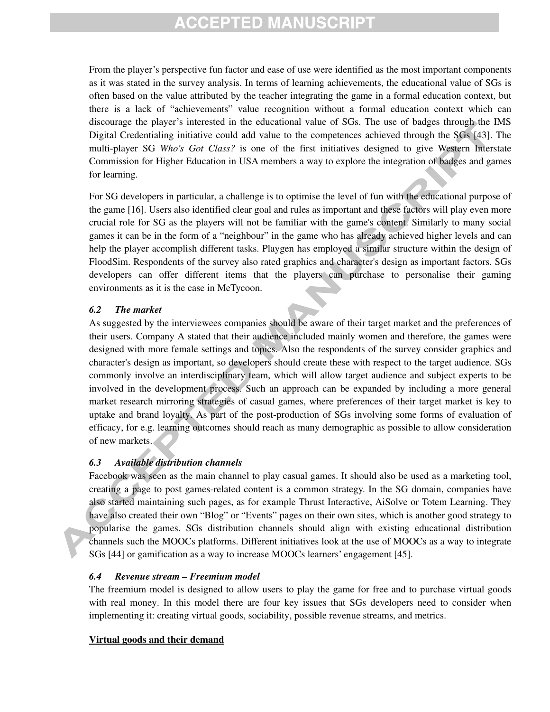From the player's perspective fun factor and ease of use were identified as the most important components as it was stated in the survey analysis. In terms of learning achievements, the educational value of SGs is often based on the value attributed by the teacher integrating the game in a formal education context, but there is a lack of "achievements" value recognition without a formal education context which can discourage the player's interested in the educational value of SGs. The use of badges through the IMS Digital Credentialing initiative could add value to the competences achieved through the SGs [43]. The multi-player SG *Who's Got Class?* is one of the first initiatives designed to give Western Interstate Commission for Higher Education in USA members a way to explore the integration of badges and games for learning.

For SG developers in particular, a challenge is to optimise the level of fun with the educational purpose of the game [16]. Users also identified clear goal and rules as important and these factors will play even more crucial role for SG as the players will not be familiar with the game's content. Similarly to many social games it can be in the form of a "neighbour" in the game who has already achieved higher levels and can help the player accomplish different tasks. Playgen has employed a similar structure within the design of FloodSim. Respondents of the survey also rated graphics and character's design as important factors. SGs developers can offer different items that the players can purchase to personalise their gaming environments as it is the case in MeTycoon.

#### *6.2 The market*

As suggested by the interviewees companies should be aware of their target market and the preferences of their users. Company A stated that their audience included mainly women and therefore, the games were designed with more female settings and topics. Also the respondents of the survey consider graphics and character's design as important, so developers should create these with respect to the target audience. SGs commonly involve an interdisciplinary team, which will allow target audience and subject experts to be involved in the development process. Such an approach can be expanded by including a more general market research mirroring strategies of casual games, where preferences of their target market is key to uptake and brand loyalty. As part of the post-production of SGs involving some forms of evaluation of efficacy, for e.g. learning outcomes should reach as many demographic as possible to allow consideration of new markets.

#### *6.3 Available distribution channels*

Facebook was seen as the main channel to play casual games. It should also be used as a marketing tool, creating a page to post games-related content is a common strategy. In the SG domain, companies have also started maintaining such pages, as for example Thrust Interactive, AiSolve or Totem Learning. They have also created their own "Blog" or "Events" pages on their own sites, which is another good strategy to popularise the games. SGs distribution channels should align with existing educational distribution channels such the MOOCs platforms. Different initiatives look at the use of MOOCs as a way to integrate SGs [44] or gamification as a way to increase MOOCs learners' engagement [45].

#### *6.4 Revenue stream – Freemium model*

The freemium model is designed to allow users to play the game for free and to purchase virtual goods with real money. In this model there are four key issues that SGs developers need to consider when implementing it: creating virtual goods, sociability, possible revenue streams, and metrics.

#### **Virtual goods and their demand**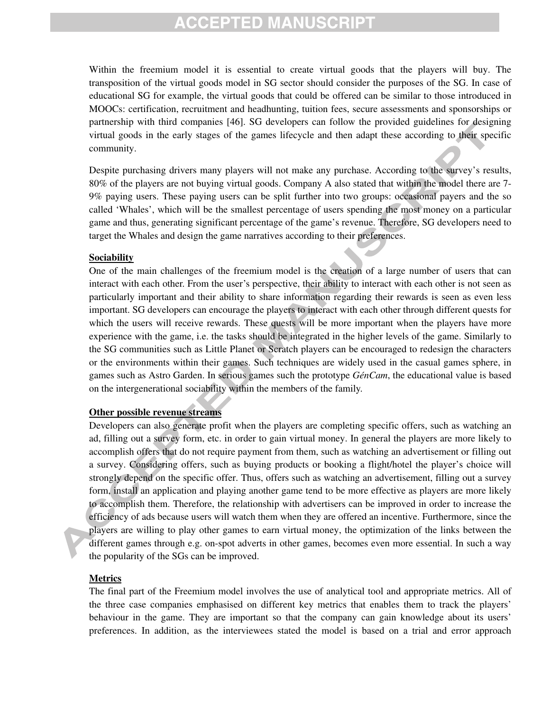Within the freemium model it is essential to create virtual goods that the players will buy. The transposition of the virtual goods model in SG sector should consider the purposes of the SG. In case of educational SG for example, the virtual goods that could be offered can be similar to those introduced in MOOCs: certification, recruitment and headhunting, tuition fees, secure assessments and sponsorships or partnership with third companies [46]. SG developers can follow the provided guidelines for designing virtual goods in the early stages of the games lifecycle and then adapt these according to their specific community.

Despite purchasing drivers many players will not make any purchase. According to the survey's results, 80% of the players are not buying virtual goods. Company A also stated that within the model there are 7- 9% paying users. These paying users can be split further into two groups: occasional payers and the so called 'Whales', which will be the smallest percentage of users spending the most money on a particular game and thus, generating significant percentage of the game's revenue. Therefore, SG developers need to target the Whales and design the game narratives according to their preferences.

#### **Sociability**

One of the main challenges of the freemium model is the creation of a large number of users that can interact with each other. From the user's perspective, their ability to interact with each other is not seen as particularly important and their ability to share information regarding their rewards is seen as even less important. SG developers can encourage the players to interact with each other through different quests for which the users will receive rewards. These quests will be more important when the players have more experience with the game, i.e. the tasks should be integrated in the higher levels of the game. Similarly to the SG communities such as Little Planet or Scratch players can be encouraged to redesign the characters or the environments within their games. Such techniques are widely used in the casual games sphere, in games such as Astro Garden. In serious games such the prototype *GénCam*, the educational value is based on the intergenerational sociability within the members of the family.

#### **Other possible revenue streams**

Developers can also generate profit when the players are completing specific offers, such as watching an ad, filling out a survey form, etc. in order to gain virtual money. In general the players are more likely to accomplish offers that do not require payment from them, such as watching an advertisement or filling out a survey. Considering offers, such as buying products or booking a flight/hotel the player's choice will strongly depend on the specific offer. Thus, offers such as watching an advertisement, filling out a survey form, install an application and playing another game tend to be more effective as players are more likely to accomplish them. Therefore, the relationship with advertisers can be improved in order to increase the efficiency of ads because users will watch them when they are offered an incentive. Furthermore, since the players are willing to play other games to earn virtual money, the optimization of the links between the different games through e.g. on-spot adverts in other games, becomes even more essential. In such a way the popularity of the SGs can be improved.

#### **Metrics**

The final part of the Freemium model involves the use of analytical tool and appropriate metrics. All of the three case companies emphasised on different key metrics that enables them to track the players' behaviour in the game. They are important so that the company can gain knowledge about its users' preferences. In addition, as the interviewees stated the model is based on a trial and error approach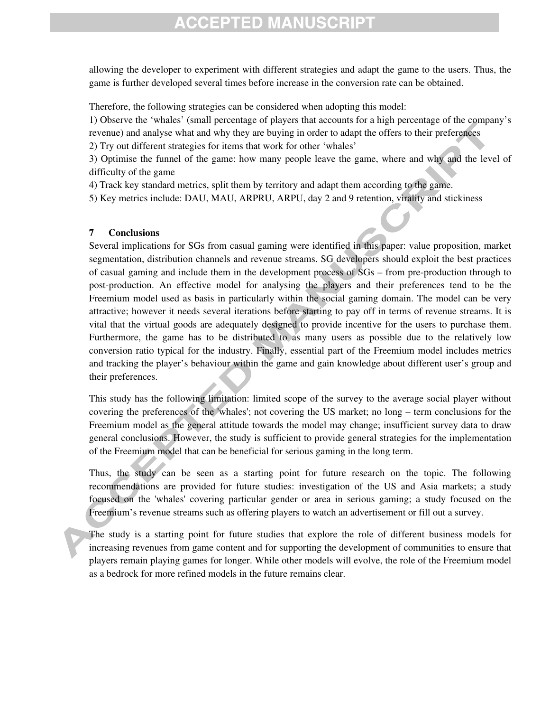allowing the developer to experiment with different strategies and adapt the game to the users. Thus, the game is further developed several times before increase in the conversion rate can be obtained.

Therefore, the following strategies can be considered when adopting this model:

1) Observe the 'whales' (small percentage of players that accounts for a high percentage of the company's revenue) and analyse what and why they are buying in order to adapt the offers to their preferences

2) Try out different strategies for items that work for other 'whales'

3) Optimise the funnel of the game: how many people leave the game, where and why and the level of difficulty of the game

4) Track key standard metrics, split them by territory and adapt them according to the game.

5) Key metrics include: DAU, MAU, ARPRU, ARPU, day 2 and 9 retention, virality and stickiness

#### **7 Conclusions**

Several implications for SGs from casual gaming were identified in this paper: value proposition, market segmentation, distribution channels and revenue streams. SG developers should exploit the best practices of casual gaming and include them in the development process of SGs – from pre-production through to post-production. An effective model for analysing the players and their preferences tend to be the Freemium model used as basis in particularly within the social gaming domain. The model can be very attractive; however it needs several iterations before starting to pay off in terms of revenue streams. It is vital that the virtual goods are adequately designed to provide incentive for the users to purchase them. Furthermore, the game has to be distributed to as many users as possible due to the relatively low conversion ratio typical for the industry. Finally, essential part of the Freemium model includes metrics and tracking the player's behaviour within the game and gain knowledge about different user's group and their preferences.

This study has the following limitation: limited scope of the survey to the average social player without covering the preferences of the 'whales'; not covering the US market; no long – term conclusions for the Freemium model as the general attitude towards the model may change; insufficient survey data to draw general conclusions. However, the study is sufficient to provide general strategies for the implementation of the Freemium model that can be beneficial for serious gaming in the long term.

Thus, the study can be seen as a starting point for future research on the topic. The following recommendations are provided for future studies: investigation of the US and Asia markets; a study focused on the 'whales' covering particular gender or area in serious gaming; a study focused on the Freemium's revenue streams such as offering players to watch an advertisement or fill out a survey.

The study is a starting point for future studies that explore the role of different business models for increasing revenues from game content and for supporting the development of communities to ensure that players remain playing games for longer. While other models will evolve, the role of the Freemium model as a bedrock for more refined models in the future remains clear.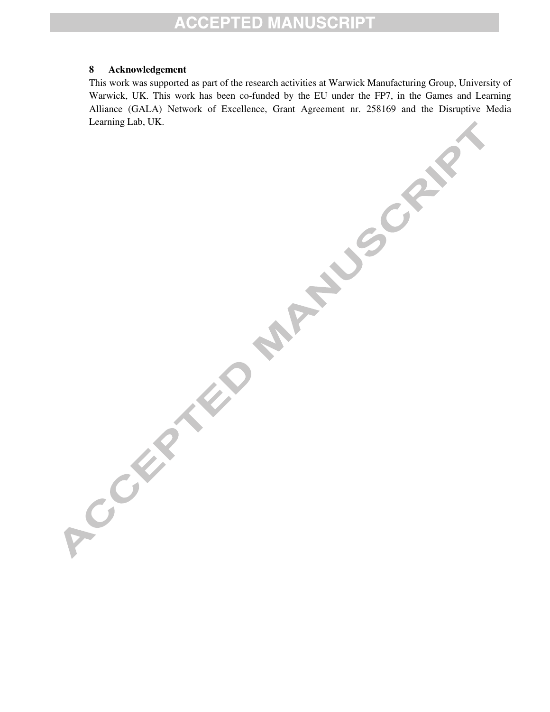#### **8 Acknowledgement**

This work was supported as part of the research activities at Warwick Manufacturing Group, University of Warwick, UK. This work has been co-funded by the EU under the FP7, in the Games and Learning Alliance (GALA) Network of Excellence, Grant Agreement nr. 258169 and the Disruptive Media Learning Lab, UK.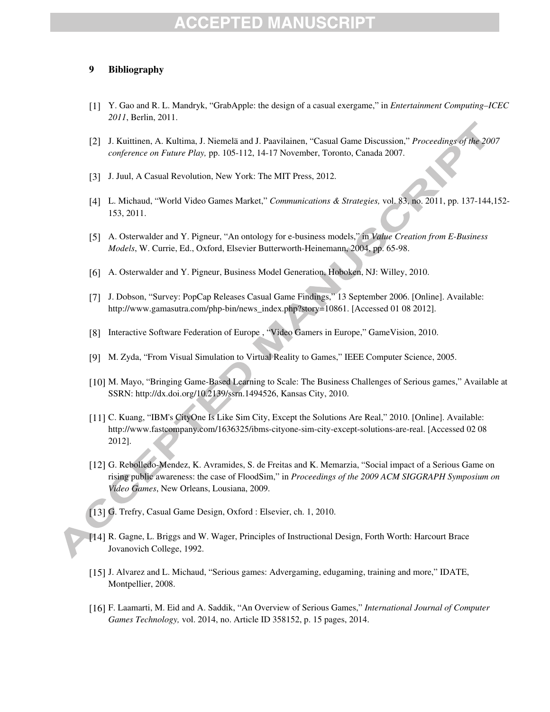#### **9 Bibliography**

- [1] Y. Gao and R. L. Mandryk, "GrabApple: the design of a casual exergame," in *Entertainment Computing–ICEC 2011*, Berlin, 2011.
- [2] J. Kuittinen, A. Kultima, J. Niemelä and J. Paavilainen, "Casual Game Discussion," *Proceedings of the 2007 conference on Future Play,* pp. 105-112, 14-17 November, Toronto, Canada 2007.
- [3] J. Juul, A Casual Revolution, New York: The MIT Press, 2012.
- [4] L. Michaud, "World Video Games Market," *Communications & Strategies,* vol. 83, no. 2011, pp. 137-144,152- 153, 2011.
- [5] A. Osterwalder and Y. Pigneur, "An ontology for e-business models," in *Value Creation from E-Business Models*, W. Currie, Ed., Oxford, Elsevier Butterworth-Heinemann, 2004, pp. 65-98.
- [6] A. Osterwalder and Y. Pigneur, Business Model Generation, Hoboken, NJ: Willey, 2010.
- [7] J. Dobson, "Survey: PopCap Releases Casual Game Findings," 13 September 2006. [Online]. Available: http://www.gamasutra.com/php-bin/news\_index.php?story=10861. [Accessed 01 08 2012].
- [8] Interactive Software Federation of Europe , "Video Gamers in Europe," GameVision, 2010.
- [9] M. Zyda, "From Visual Simulation to Virtual Reality to Games," IEEE Computer Science, 2005.
- [10] M. Mayo, "Bringing Game-Based Learning to Scale: The Business Challenges of Serious games," Available at SSRN: http://dx.doi.org/10.2139/ssrn.1494526, Kansas City, 2010.
- [11] C. Kuang, "IBM's CityOne Is Like Sim City, Except the Solutions Are Real," 2010. [Online]. Available: http://www.fastcompany.com/1636325/ibms-cityone-sim-city-except-solutions-are-real. [Accessed 02 08 2012].
- [12] G. Rebolledo-Mendez, K. Avramides, S. de Freitas and K. Memarzia, "Social impact of a Serious Game on rising public awareness: the case of FloodSim," in *Proceedings of the 2009 ACM SIGGRAPH Symposium on Video Games*, New Orleans, Lousiana, 2009.
- [13] G. Trefry, Casual Game Design, Oxford : Elsevier, ch. 1, 2010.
- [14] R. Gagne, L. Briggs and W. Wager, Principles of Instructional Design, Forth Worth: Harcourt Brace Jovanovich College, 1992.
- [15] J. Alvarez and L. Michaud, "Serious games: Advergaming, edugaming, training and more," IDATE, Montpellier, 2008.
- [16] F. Laamarti, M. Eid and A. Saddik, "An Overview of Serious Games," *International Journal of Computer Games Technology,* vol. 2014, no. Article ID 358152, p. 15 pages, 2014.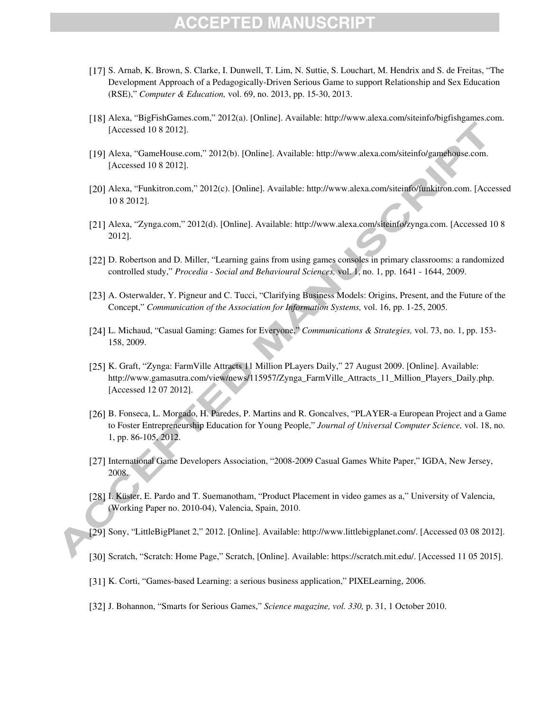- [17] S. Arnab, K. Brown, S. Clarke, I. Dunwell, T. Lim, N. Suttie, S. Louchart, M. Hendrix and S. de Freitas, "The Development Approach of a Pedagogically-Driven Serious Game to support Relationship and Sex Education (RSE)," *Computer & Education,* vol. 69, no. 2013, pp. 15-30, 2013.
- [18] Alexa, "BigFishGames.com," 2012(a). [Online]. Available: http://www.alexa.com/siteinfo/bigfishgames.com. [Accessed 10 8 2012].
- [19] Alexa, "GameHouse.com," 2012(b). [Online]. Available: http://www.alexa.com/siteinfo/gamehouse.com. [Accessed 10 8 2012].
- [20] Alexa, "Funkitron.com," 2012(c). [Online]. Available: http://www.alexa.com/siteinfo/funkitron.com. [Accessed 10 8 2012].
- [21] Alexa, "Zynga.com," 2012(d). [Online]. Available: http://www.alexa.com/siteinfo/zynga.com. [Accessed 10 8 2012].
- [22] D. Robertson and D. Miller, "Learning gains from using games consoles in primary classrooms: a randomized controlled study," *Procedia - Social and Behavioural Sciences,* vol. 1, no. 1, pp. 1641 - 1644, 2009.
- [23] A. Osterwalder, Y. Pigneur and C. Tucci, "Clarifying Business Models: Origins, Present, and the Future of the Concept," *Communication of the Association for Information Systems,* vol. 16, pp. 1-25, 2005.
- [24] L. Michaud, "Casual Gaming: Games for Everyone," *Communications & Strategies,* vol. 73, no. 1, pp. 153- 158, 2009.
- [25] K. Graft, "Zynga: FarmVille Attracts 11 Million PLayers Daily," 27 August 2009. [Online]. Available: http://www.gamasutra.com/view/news/115957/Zynga\_FarmVille\_Attracts\_11\_Million\_Players\_Daily.php. [Accessed 12 07 2012].
- [26] B. Fonseca, L. Morgado, H. Paredes, P. Martins and R. Goncalves, "PLAYER-a European Project and a Game to Foster Entrepreneurship Education for Young People," *Journal of Universal Computer Science,* vol. 18, no. 1, pp. 86-105, 2012.
- [27] International Game Developers Association, "2008-2009 Casual Games White Paper," IGDA, New Jersey, 2008.
- [28] I. Küster, E. Pardo and T. Suemanotham, "Product Placement in video games as a," University of Valencia, (Working Paper no. 2010-04), Valencia, Spain, 2010.
- [29] Sony, "LittleBigPlanet 2," 2012. [Online]. Available: http://www.littlebigplanet.com/. [Accessed 03 08 2012].
- [30] Scratch, "Scratch: Home Page," Scratch, [Online]. Available: https://scratch.mit.edu/. [Accessed 11 05 2015].
- [31] K. Corti, "Games-based Learning: a serious business application," PIXELearning, 2006.
- [32] J. Bohannon, "Smarts for Serious Games," *Science magazine, vol. 330,* p. 31, 1 October 2010.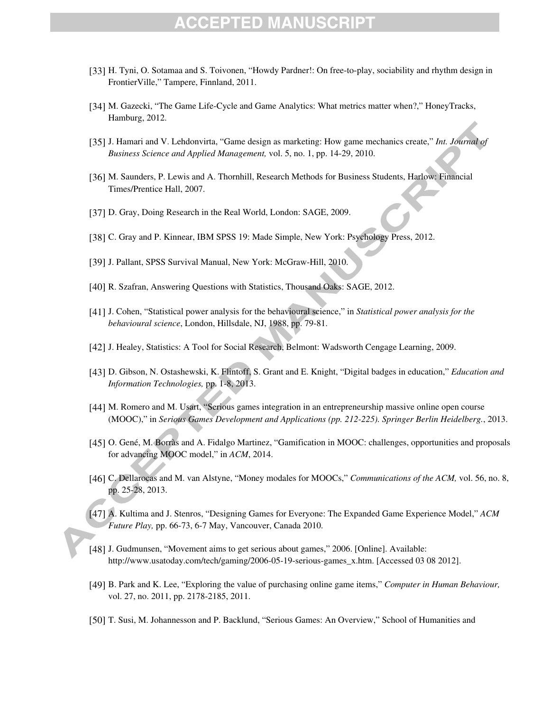### CEPTED MANU

- [33] H. Tyni, O. Sotamaa and S. Toivonen, "Howdy Pardner!: On free-to-play, sociability and rhythm design in FrontierVille," Tampere, Finnland, 2011.
- [34] M. Gazecki, "The Game Life-Cycle and Game Analytics: What metrics matter when?," HoneyTracks, Hamburg, 2012.
- [35] J. Hamari and V. Lehdonvirta, "Game design as marketing: How game mechanics create," *Int. Journal of Business Science and Applied Management,* vol. 5, no. 1, pp. 14-29, 2010.
- [36] M. Saunders, P. Lewis and A. Thornhill, Research Methods for Business Students, Harlow: Financial Times/Prentice Hall, 2007.
- [37] D. Gray, Doing Research in the Real World, London: SAGE, 2009.
- [38] C. Gray and P. Kinnear, IBM SPSS 19: Made Simple, New York: Psychology Press, 2012.
- [39] J. Pallant, SPSS Survival Manual, New York: McGraw-Hill, 2010.
- [40] R. Szafran, Answering Questions with Statistics, Thousand Oaks: SAGE, 2012.
- [41] J. Cohen, "Statistical power analysis for the behavioural science," in *Statistical power analysis for the behavioural science*, London, Hillsdale, NJ, 1988, pp. 79-81.
- [42] J. Healey, Statistics: A Tool for Social Research, Belmont: Wadsworth Cengage Learning, 2009.
- [43] D. Gibson, N. Ostashewski, K. Flintoff, S. Grant and E. Knight, "Digital badges in education," *Education and Information Technologies,* pp. 1-8, 2013.
- [44] M. Romero and M. Usart, "Serious games integration in an entrepreneurship massive online open course (MOOC)," in *Serious Games Development and Applications (pp. 212-225). Springer Berlin Heidelberg.*, 2013.
- [45] O. Gené, M. Borràs and A. Fidalgo Martinez, "Gamification in MOOC: challenges, opportunities and proposals for advancing MOOC model," in *ACM*, 2014.
- [46] C. Dellarocas and M. van Alstyne, "Money modales for MOOCs," *Communications of the ACM,* vol. 56, no. 8, pp. 25-28, 2013.
- [47] A. Kultima and J. Stenros, "Designing Games for Everyone: The Expanded Game Experience Model," *ACM Future Play,* pp. 66-73, 6-7 May, Vancouver, Canada 2010.
- [48] J. Gudmunsen, "Movement aims to get serious about games," 2006. [Online]. Available: http://www.usatoday.com/tech/gaming/2006-05-19-serious-games\_x.htm. [Accessed 03 08 2012].
- [49] B. Park and K. Lee, "Exploring the value of purchasing online game items," *Computer in Human Behaviour,*  vol. 27, no. 2011, pp. 2178-2185, 2011.
- [50] T. Susi, M. Johannesson and P. Backlund, "Serious Games: An Overview," School of Humanities and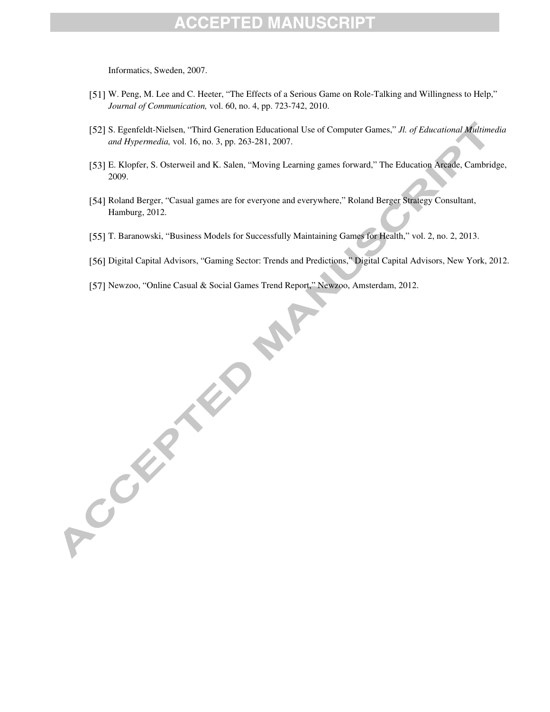Informatics, Sweden, 2007.

- [51] W. Peng, M. Lee and C. Heeter, "The Effects of a Serious Game on Role-Talking and Willingness to Help," *Journal of Communication,* vol. 60, no. 4, pp. 723-742, 2010.
- [52] S. Egenfeldt-Nielsen, "Third Generation Educational Use of Computer Games," *Jl. of Educational Multimedia and Hypermedia,* vol. 16, no. 3, pp. 263-281, 2007.
- [53] E. Klopfer, S. Osterweil and K. Salen, "Moving Learning games forward," The Education Arcade, Cambridge, 2009.
- [54] Roland Berger, "Casual games are for everyone and everywhere," Roland Berger Strategy Consultant, Hamburg, 2012.
- [55] T. Baranowski, "Business Models for Successfully Maintaining Games for Health," vol. 2, no. 2, 2013.
- [56] Digital Capital Advisors, "Gaming Sector: Trends and Predictions," Digital Capital Advisors, New York, 2012.
- [57] Newzoo, "Online Casual & Social Games Trend Report," Newzoo, Amsterdam, 2012.

ACCEPTED M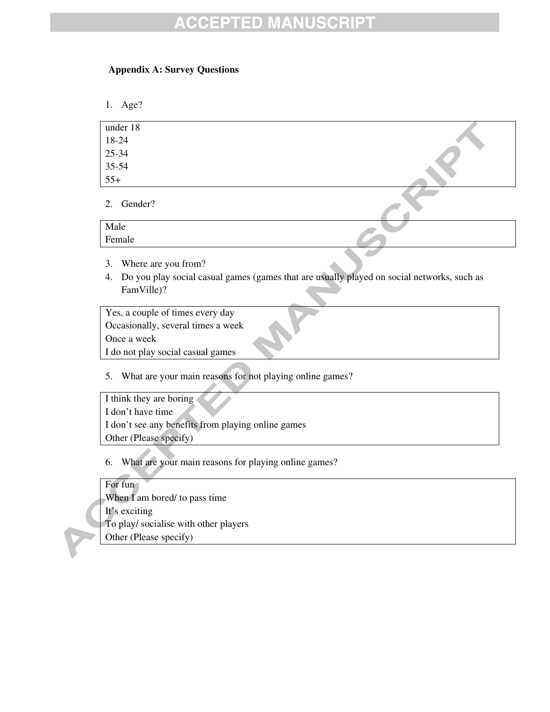#### **Appendix A: Survey Questions**

1. Age?

| under 18                |  |
|-------------------------|--|
| $18-24$                 |  |
|                         |  |
| $25-34$<br>35-54<br>55+ |  |
|                         |  |
|                         |  |
| Gender?<br>2.           |  |

Male Female

- 3. Where are you from?
- 4. Do you play social casual games (games that are usually played on social networks, such as FamVille)?

Yes, a couple of times every day Occasionally, several times a week Once a week I do not play social casual games

5. What are your main reasons for not playing online games?

I think they are boring I don't have time I don't see any benefits from playing online games Other (Please specify)

6. What are your main reasons for playing online games?

For fun When I am bored/ to pass time It's exciting To play/ socialise with other players Other (Please specify)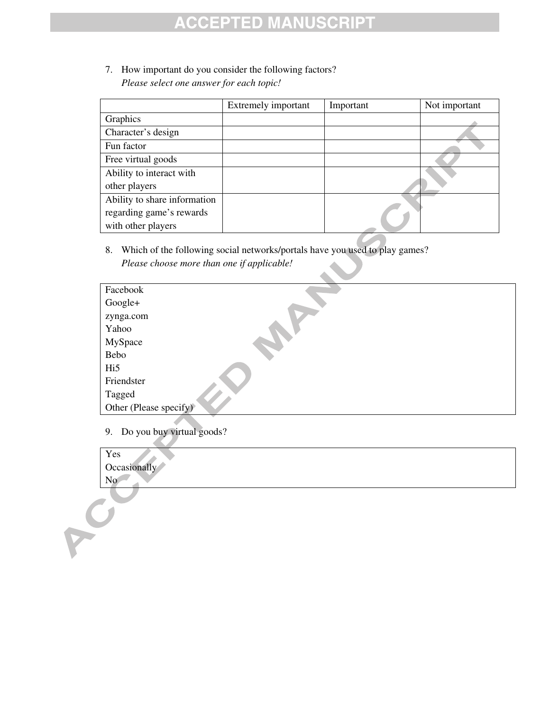7. How important do you consider the following factors? *Please select one answer for each topic!* 

|                              | Extremely important | Important | Not important |
|------------------------------|---------------------|-----------|---------------|
| Graphics                     |                     |           |               |
| Character's design           |                     |           |               |
| Fun factor                   |                     |           |               |
| Free virtual goods           |                     |           |               |
| Ability to interact with     |                     |           |               |
| other players                |                     |           |               |
| Ability to share information |                     |           |               |
| regarding game's rewards     |                     |           |               |
| with other players           |                     |           |               |

8. Which of the following social networks/portals have you used to play games? *Please choose more than one if applicable!* 

| Facebook               |
|------------------------|
| Google+                |
| zynga.com              |
| Yahoo                  |
| MySpace                |
| Bebo                   |
| Hi5                    |
| Friendster             |
| Tagged                 |
| Other (Please specify) |
|                        |

9. Do you buy virtual goods?

| Yes            |  |  |  |
|----------------|--|--|--|
| Occasionally   |  |  |  |
| N <sub>o</sub> |  |  |  |
|                |  |  |  |
|                |  |  |  |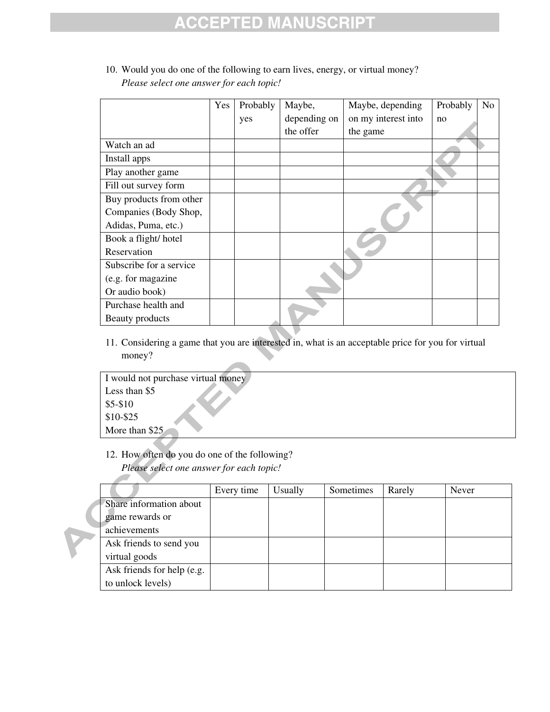10. Would you do one of the following to earn lives, energy, or virtual money? *Please select one answer for each topic!* 

|                         | Yes | Probably | Maybe,       | Maybe, depending    | Probably | No |
|-------------------------|-----|----------|--------------|---------------------|----------|----|
|                         |     | yes      | depending on | on my interest into | no       |    |
|                         |     |          | the offer    | the game            |          |    |
| Watch an ad             |     |          |              |                     |          |    |
| Install apps            |     |          |              |                     |          |    |
| Play another game       |     |          |              |                     |          |    |
| Fill out survey form    |     |          |              |                     |          |    |
| Buy products from other |     |          |              |                     |          |    |
| Companies (Body Shop,   |     |          |              |                     |          |    |
| Adidas, Puma, etc.)     |     |          |              |                     |          |    |
| Book a flight/hotel     |     |          |              |                     |          |    |
| Reservation             |     |          |              |                     |          |    |
| Subscribe for a service |     |          |              |                     |          |    |
| (e.g. for magazine      |     |          |              |                     |          |    |
| Or audio book)          |     |          |              |                     |          |    |
| Purchase health and     |     |          |              |                     |          |    |
| Beauty products         |     |          |              |                     |          |    |

11. Considering a game that you are interested in, what is an acceptable price for you for virtual money?

| I would not purchase virtual money |
|------------------------------------|
| Less than \$5                      |
| $$5-$10$                           |
| $$10-$25$                          |
| More than \$25                     |

12. How often do you do one of the following? *Please select one answer for each topic!* 

**Contract Contract Contract** 

|                            | Every time | Usually | Sometimes | Rarely | Never |
|----------------------------|------------|---------|-----------|--------|-------|
| Share information about    |            |         |           |        |       |
| game rewards or            |            |         |           |        |       |
| achievements               |            |         |           |        |       |
| Ask friends to send you    |            |         |           |        |       |
| virtual goods              |            |         |           |        |       |
| Ask friends for help (e.g. |            |         |           |        |       |
| to unlock levels)          |            |         |           |        |       |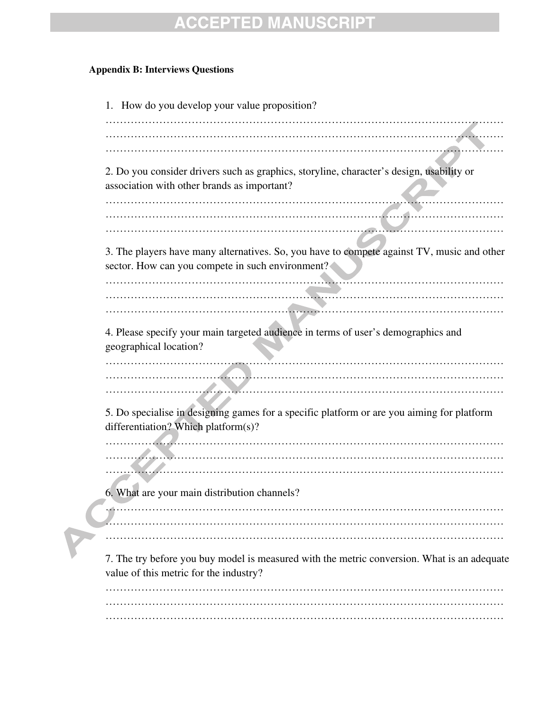### **Appendix B: Interviews Questions**

| 1. How do you develop your value proposition?                                                                                                  |
|------------------------------------------------------------------------------------------------------------------------------------------------|
|                                                                                                                                                |
| 2. Do you consider drivers such as graphics, storyline, character's design, usability or<br>association with other brands as important?        |
|                                                                                                                                                |
| 3. The players have many alternatives. So, you have to compete against TV, music and other<br>sector. How can you compete in such environment? |
|                                                                                                                                                |
| 4. Please specify your main targeted audience in terms of user's demographics and<br>geographical location?                                    |
|                                                                                                                                                |
| 5. Do specialise in designing games for a specific platform or are you aiming for platform<br>differentiation? Which platform(s)?              |
|                                                                                                                                                |
| 6. What are your main distribution channels?                                                                                                   |
|                                                                                                                                                |
|                                                                                                                                                |
| 7. The try before you buy model is measured with the metric conversion. What is an adequate<br>value of this metric for the industry?          |
|                                                                                                                                                |
|                                                                                                                                                |
|                                                                                                                                                |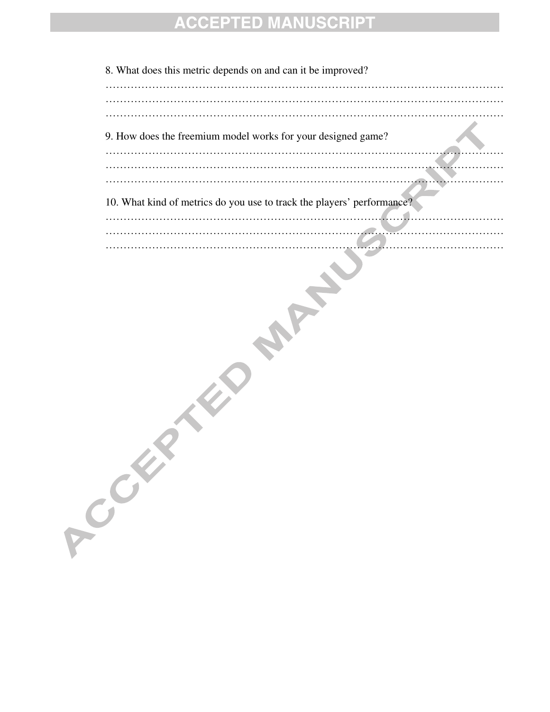| 8. What does this metric depends on and can it be improved?            |  |  |  |  |
|------------------------------------------------------------------------|--|--|--|--|
|                                                                        |  |  |  |  |
|                                                                        |  |  |  |  |
| 9. How does the freemium model works for your designed game?           |  |  |  |  |
|                                                                        |  |  |  |  |
|                                                                        |  |  |  |  |
| 10. What kind of metrics do you use to track the players' performance? |  |  |  |  |
|                                                                        |  |  |  |  |
|                                                                        |  |  |  |  |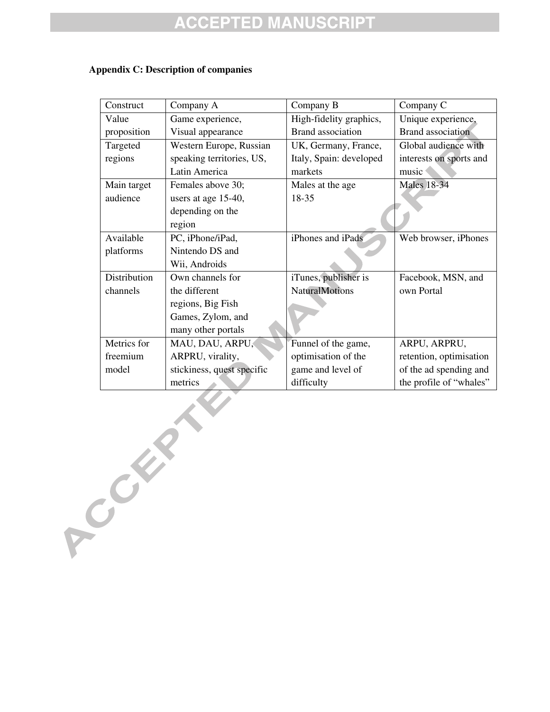| Construct    | Company A                  | Company B               | Company C               |  |
|--------------|----------------------------|-------------------------|-------------------------|--|
| Value        | Game experience,           | High-fidelity graphics, | Unique experience,      |  |
| proposition  | Visual appearance          | Brand association       | Brand association       |  |
| Targeted     | Western Europe, Russian    | UK, Germany, France,    | Global audience with    |  |
| regions      | speaking territories, US,  | Italy, Spain: developed | interests on sports and |  |
|              | Latin America              | markets                 | music                   |  |
| Main target  | Females above 30;          | Males at the age        | <b>Males</b> 18-34      |  |
| audience     | users at age 15-40,        | 18-35                   |                         |  |
|              | depending on the           |                         |                         |  |
|              | region                     |                         |                         |  |
| Available    | PC, iPhone/iPad,           | iPhones and iPads       | Web browser, iPhones    |  |
| platforms    | Nintendo DS and            |                         |                         |  |
|              | Wii, Androids              |                         |                         |  |
| Distribution | Own channels for           | iTunes, publisher is    | Facebook, MSN, and      |  |
| channels     | the different              | <b>NaturalMotions</b>   | own Portal              |  |
|              | regions, Big Fish          |                         |                         |  |
|              | Games, Zylom, and          |                         |                         |  |
|              | many other portals         |                         |                         |  |
| Metrics for  | MAU, DAU, ARPU,            | Funnel of the game,     | ARPU, ARPRU,            |  |
| freemium     | ARPRU, virality,           | optimisation of the     | retention, optimisation |  |
| model        | stickiness, quest specific | game and level of       | of the ad spending and  |  |
|              | metrics                    | difficulty              | the profile of "whales" |  |
| COR          |                            |                         |                         |  |
|              |                            |                         |                         |  |

#### **Appendix C: Description of companies**